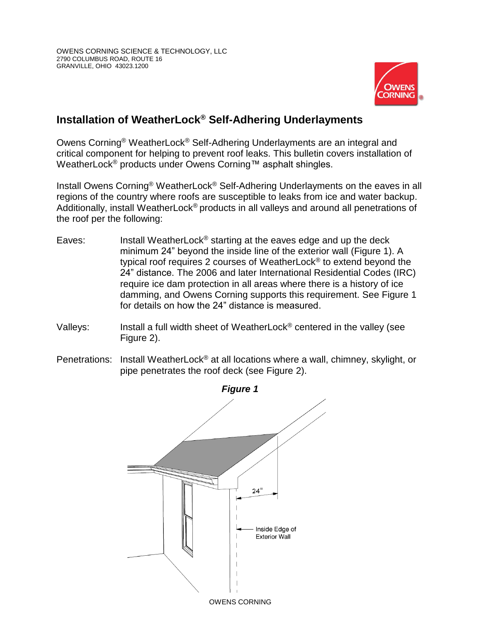

## **Installation of WeatherLock® Self-Adhering Underlayments**

Owens Corning® WeatherLock® Self-Adhering Underlayments are an integral and critical component for helping to prevent roof leaks. This bulletin covers installation of WeatherLock<sup>®</sup> products under Owens Corning™ asphalt shingles.

Install Owens Corning® WeatherLock® Self-Adhering Underlayments on the eaves in all regions of the country where roofs are susceptible to leaks from ice and water backup. Additionally, install WeatherLock® products in all valleys and around all penetrations of the roof per the following:

- Eaves: Install WeatherLock<sup>®</sup> starting at the eaves edge and up the deck minimum 24" beyond the inside line of the exterior wall (Figure 1). A typical roof requires 2 courses of WeatherLock® to extend beyond the 24" distance. The 2006 and later International Residential Codes (IRC) require ice dam protection in all areas where there is a history of ice damming, and Owens Corning supports this requirement. See Figure 1 for details on how the 24" distance is measured.
- Valleys: Install a full width sheet of WeatherLock<sup>®</sup> centered in the valley (see Figure 2).
- Penetrations: Install WeatherLock<sup>®</sup> at all locations where a wall, chimney, skylight, or pipe penetrates the roof deck (see Figure 2).